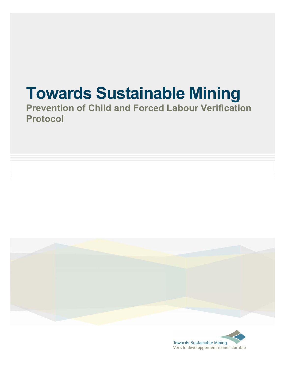# **Towards Sustainable Mining**

**Prevention of Child and Forced Labour Verification Protocol** 



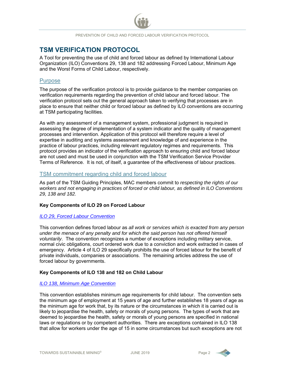# **TSM VERIFICATION PROTOCOL**

A Tool for preventing the use of child and forced labour as defined by International Labour Organization (ILO) Conventions 29, 138 and 182 addressing Forced Labour, Minimum Age and the Worst Forms of Child Labour, respectively.

## **Purpose**

The purpose of the verification protocol is to provide guidance to the member companies on verification requirements regarding the prevention of child labour and forced labour. The verification protocol sets out the general approach taken to verifying that processes are in place to ensure that neither child or forced labour as defined by ILO conventions are occurring at TSM participating facilities.

As with any assessment of a management system, professional judgment is required in assessing the degree of implementation of a system indicator and the quality of management processes and intervention. Application of this protocol will therefore require a level of expertise in auditing and systems assessment and knowledge of and experience in the practice of labour practices, including relevant regulatory regimes and requirements. This protocol provides an indicator of the verification approach to ensuring child and forced labour are not used and must be used in conjunction with the TSM Verification Service Provider Terms of Reference. It is not, of itself, a guarantee of the effectiveness of labour practices.

## TSM commitment regarding child and forced labour

As part of the TSM Guiding Principles, MAC members commit to *respecting the rights of our workers and not engaging in practices of forced or child labour, as defined in ILO Conventions 29, 138 and 182.* 

### **Key Components of ILO 29 on Forced Labour**

#### *ILO 29, Forced Labour Convention*

This convention defines forced labour as *all work or services which is exacted from any person under the menace of any penalty and for which the said person has not offered himself voluntarily*. The convention recognizes a number of exceptions including military service, normal civic obligations, court ordered work due to a conviction and work extracted in cases of emergency. Article 4 of ILO 29 specifically prohibits the use of forced labour for the benefit of private individuals, companies or associations. The remaining articles address the use of forced labour by governments.

### **Key Components of ILO 138 and 182 on Child Labour**

### *ILO 138, Minimum Age Convention*

This convention establishes minimum age requirements for child labour. The convention sets the minimum age of employment at 15 years of age and further establishes 18 years of age as the minimum age for work that, by its nature or the circumstances in which it is carried out is likely to jeopardise the health, safety or morals of young persons. The types of work that are deemed to jeopardise the health, safety or morals of young persons are specified in national laws or regulations or by competent authorities. There are exceptions contained in ILO 138 that allow for workers under the age of 15 in some circumstances but such exceptions are not

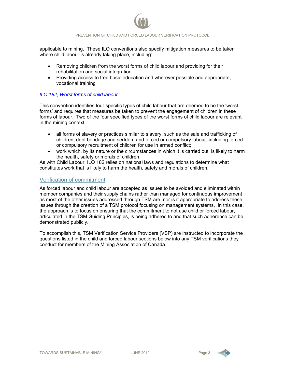applicable to mining. These ILO conventions also specify mitigation measures to be taken where child labour is already taking place, including:

- Removing children from the worst forms of child labour and providing for their rehabilitation and social integration
- Providing access to free basic education and wherever possible and appropriate, vocational training

### *ILO 182, Worst forms of child labour*

This convention identifies four specific types of child labour that are deemed to be the 'worst forms' and requires that measures be taken to prevent the engagement of children in these forms of labour. Two of the four specified types of the worst forms of child labour are relevant in the mining context:

- all forms of slavery or practices similar to slavery, such as the sale and trafficking of children, debt bondage and serfdom and forced or compulsory labour, including forced or compulsory recruitment of children for use in armed conflict;
- work which, by its nature or the circumstances in which it is carried out, is likely to harm the health, safety or morals of children.

As with Child Labour, ILO 182 relies on national laws and regulations to determine what constitutes work that is likely to harm the health, safety and morals of children.

## Verification of commitment

As forced labour and child labour are accepted as issues to be avoided and eliminated within member companies and their supply chains rather than managed for continuous improvement as most of the other issues addressed through TSM are, nor is it appropriate to address these issues through the creation of a TSM protocol focusing on management systems. In this case, the approach is to focus on ensuring that the commitment to not use child or forced labour, articulated in the TSM Guiding Principles, is being adhered to and that such adherence can be demonstrated publicly.

To accomplish this, TSM Verification Service Providers (VSP) are instructed to incorporate the questions listed in the child and forced labour sections below into any TSM verifications they conduct for members of the Mining Association of Canada.

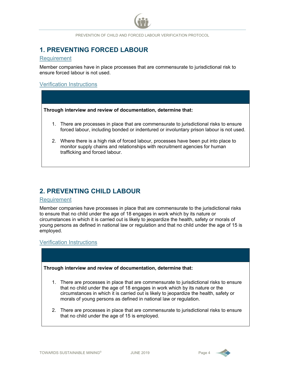# **1. PREVENTING FORCED LABOUR**

#### Requirement

Member companies have in place processes that are commensurate to jurisdictional risk to ensure forced labour is not used.

# Verification Instructions

**Through interview and review of documentation, determine that:** 

- 1. There are processes in place that are commensurate to jurisdictional risks to ensure forced labour, including bonded or indentured or involuntary prison labour is not used.
- 2. Where there is a high risk of forced labour, processes have been put into place to monitor supply chains and relationships with recruitment agencies for human trafficking and forced labour.

# **2. PREVENTING CHILD LABOUR**

#### Requirement

Member companies have processes in place that are commensurate to the jurisdictional risks to ensure that no child under the age of 18 engages in work which by its nature or circumstances in which it is carried out is likely to jeopardize the health, safety or morals of young persons as defined in national law or regulation and that no child under the age of 15 is employed.

# Verification Instructions

**Through interview and review of documentation, determine that:** 

- 1. There are processes in place that are commensurate to jurisdictional risks to ensure that no child under the age of 18 engages in work which by its nature or the circumstances in which it is carried out is likely to jeopardize the health, safety or morals of young persons as defined in national law or regulation.
- 2. There are processes in place that are commensurate to jurisdictional risks to ensure that no child under the age of 15 is employed.

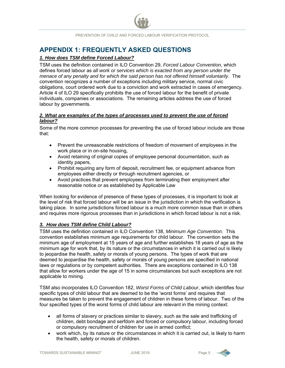# **APPENDIX 1: FREQUENTLY ASKED QUESTIONS**

## *1. How does TSM define Forced Labour?*

TSM uses the definition contained in ILO Convention 29, *Forced Labour Convention*, which defines forced labour as *all work or services which is exacted from any person under the menace of any penalty and for which the said person has not offered himself voluntarily*. The convention recognizes a number of exceptions including military service, normal civic obligations, court ordered work due to a conviction and work extracted in cases of emergency. Article 4 of ILO 29 specifically prohibits the use of forced labour for the benefit of private individuals, companies or associations. The remaining articles address the use of forced labour by governments.

### *2. What are examples of the types of processes used to prevent the use of forced labour?*

Some of the more common processes for preventing the use of forced labour include are those that:

- Prevent the unreasonable restrictions of freedom of movement of employees in the work place or in on-site housing,
- Avoid retaining of original copies of employee personal documentation, such as identity papers,
- Prohibit requiring any form of deposit, recruitment fee, or equipment advance from employees either directly or through recruitment agencies, or
- Avoid practices that prevent employees from terminating their employment after reasonable notice or as established by Applicable Law

When looking for evidence of presence of these types of processes, it is important to look at the level of risk that forced labour will be an issue in the jurisdiction in which the verification is taking place. In some jurisdictions forced labour is a much more common issue than in others and requires more rigorous processes than in jurisdictions in which forced labour is not a risk.

### *3. How does TSM define Child Labour?*

TSM uses the definition contained in ILO Convention 138, *Minimum Age Convention.* This convention establishes minimum age requirements for child labour. The convention sets the minimum age of employment at 15 years of age and further establishes 18 years of age as the minimum age for work that, by its nature or the circumstances in which it is carried out is likely to jeopardise the health, safety or morals of young persons. The types of work that are deemed to jeopardise the health, safety or morals of young persons are specified in national laws or regulations or by competent authorities. There are exceptions contained in ILO 138 that allow for workers under the age of 15 in some circumstances but such exceptions are not applicable to mining.

TSM also incorporates ILO Convention 182, *Worst Forms of Child Labour*, which identifies four specific types of child labour that are deemed to be the 'worst forms' and requires that measures be taken to prevent the engagement of children in these forms of labour. Two of the four specified types of the worst forms of child labour are relevant in the mining context:

- all forms of slavery or practices similar to slavery, such as the sale and trafficking of children, debt bondage and serfdom and forced or compulsory labour, including forced or compulsory recruitment of children for use in armed conflict;
- work which, by its nature or the circumstances in which it is carried out, is likely to harm the health, safety or morals of children.

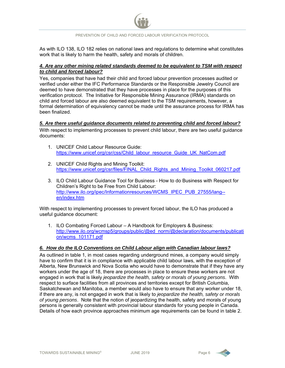

As with ILO 138, ILO 182 relies on national laws and regulations to determine what constitutes work that is likely to harm the health, safety and morals of children.

## *4. Are any other mining related standards deemed to be equivalent to TSM with respect to child and forced labour?*

Yes, companies that have had their child and forced labour prevention processes audited or verified under either the IFC Performance Standards or the Responsible Jewelry Council are deemed to have demonstrated that they have processes in place for the purposes of this verification protocol. The Initiative for Responsible Mining Assurance (IRMA) standards on child and forced labour are also deemed equivalent to the TSM requirements, however, a formal determination of equivalency cannot be made until the assurance process for IRMA has been finalized.

### *5. Are there useful guidance documents related to preventing child and forced labour?*

With respect to implementing processes to prevent child labour, there are two useful guidance documents:

- 1. UNICEF Child Labour Resource Guide: https://www.unicef.org/csr/css/Child\_labour\_resource\_Guide\_UK\_NatCom.pdf
- 2. UNICEF Child Rights and Mining Toolkit: https://www.unicef.org/csr/files/FINAL\_Child\_Rights\_and\_Mining\_Toolkit\_060217.pdf
- 3. ILO Child Labour Guidance Tool for Business How to do Business with Respect for Children's Right to be Free from Child Labour: http://www.ilo.org/ipec/Informationresources/WCMS\_IPEC\_PUB\_27555/lang-en/index.htm

With respect to implementing processes to prevent forced labour, the ILO has produced a useful guidance document:

1. ILO Combating Forced Labour – A Handbook for Employers & Business: http://www.ilo.org/wcmsp5/groups/public/@ed\_norm/@declaration/documents/publicati on/wcms\_101171.pdf

# *6. How do the ILO Conventions on Child Labour align with Canadian labour laws?*

As outlined in table 1, in most cases regarding underground mines, a company would simply have to confirm that it is in compliance with applicable child labour laws, with the exception of Alberta, New Brunswick and Nova Scotia who would have to demonstrate that if they have any workers under the age of 18, there are processes in place to ensure these workers are not engaged in work that is likely *jeopardize the health, safety or morals of young persons*. With respect to surface facilities from all provinces and territories except for British Columbia, Saskatchewan and Manitoba, a member would also have to ensure that any worker under 18, if there are any, is not engaged in work that is likely to *jeopardize the health, safety or morals of young persons*. Note that the notion of jeopardizing the health, safety and morals of young persons is generally consistent with provincial labour standards for young people in Canada. Details of how each province approaches minimum age requirements can be found in table 2.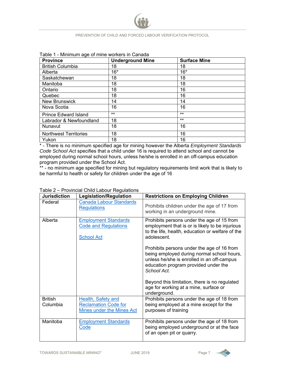

| <b>Province</b>              | <b>Underground Mine</b> | <b>Surface Mine</b> |
|------------------------------|-------------------------|---------------------|
| <b>British Columbia</b>      | 18                      | 18                  |
| Alberta                      | $16*$                   | $16*$               |
| Saskatchewan                 | 18                      | 18                  |
| Manitoba                     | 18                      | 18                  |
| Ontario                      | 18                      | 16                  |
| Quebec                       | 18                      | 16                  |
| <b>New Brunswick</b>         | 14                      | 14                  |
| Nova Scotia                  | 16                      | 16                  |
| <b>Prince Edward Island</b>  | $***$                   | $***$               |
| Labrador & Newfoundland      | 18                      | $***$               |
| Nunavut                      | 18                      | 16                  |
| <b>Northwest Territories</b> | 18                      | 16                  |
| Yukon                        | 18                      | 16                  |

\* - There is no minimum specified age for mining however the Alberta *Employment Standards Code School Act* specifies that a child under 16 is required to attend school and cannot be employed during normal school hours, unless he/she is enrolled in an off-campus education program provided under the School Act.

\*\* - no minimum age specified for mining but regulatory requirements limit work that is likely to be harmful to health or safety for children under the age of 16

| <b>Jurisdiction</b>        | <b>Legislation/Regulation</b>                                                                | <b>Restrictions on Employing Children</b>                                                                                                                                                     |
|----------------------------|----------------------------------------------------------------------------------------------|-----------------------------------------------------------------------------------------------------------------------------------------------------------------------------------------------|
| Federal                    | <b>Canada Labour Standards</b><br><b>Regulations</b>                                         | Prohibits children under the age of 17 from<br>working in an underground mine.                                                                                                                |
| Alberta                    | <b>Employment Standards</b><br><b>Code and Regulations</b><br><b>School Act</b>              | Prohibits persons under the age of 15 from<br>employment that is or is likely to be injurious<br>to the life, health, education or welfare of the<br>adolescent.                              |
|                            |                                                                                              | Prohibits persons under the age of 16 from<br>being employed during normal school hours,<br>unless he/she is enrolled in an off-campus<br>education program provided under the<br>School Act. |
|                            |                                                                                              | Beyond this limitation, there is no regulated<br>age for working at a mine, surface or<br>underground.                                                                                        |
| <b>British</b><br>Columbia | <b>Health, Safety and</b><br><b>Reclamation Code for</b><br><b>Mines under the Mines Act</b> | Prohibits persons under the age of 18 from<br>being employed at a mine except for the<br>purposes of training                                                                                 |
| Manitoba                   | <b>Employment Standards</b><br><b>Code</b>                                                   | Prohibits persons under the age of 18 from<br>being employed underground or at the face<br>of an open pit or quarry.                                                                          |

#### Table 2 – Provincial Child Labour Regulations

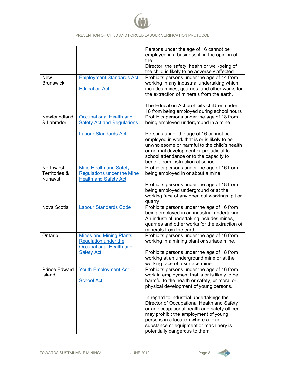

|                                       |                                                                                                    | Persons under the age of 16 cannot be<br>employed in a business if, in the opinion of<br>the<br>Director, the safety, health or well-being of                                                                                                                                                     |
|---------------------------------------|----------------------------------------------------------------------------------------------------|---------------------------------------------------------------------------------------------------------------------------------------------------------------------------------------------------------------------------------------------------------------------------------------------------|
|                                       |                                                                                                    | the child is likely to be adversely affected.                                                                                                                                                                                                                                                     |
| <b>New</b>                            | <b>Employment Standards Act</b>                                                                    | Prohibits persons under the age of 14 from                                                                                                                                                                                                                                                        |
| <b>Brunswick</b>                      | <b>Education Act</b>                                                                               | working in any industrial undertaking which<br>includes mines, quarries, and other works for<br>the extraction of minerals from the earth.                                                                                                                                                        |
|                                       |                                                                                                    | The Education Act prohibits children under<br>18 from being employed during school hours                                                                                                                                                                                                          |
| Newfoundland                          | <b>Occupational Health and</b>                                                                     | Prohibits persons under the age of 18 from                                                                                                                                                                                                                                                        |
| & Labrador                            | <b>Safety Act and Regulations</b>                                                                  | being employed underground in a mine.                                                                                                                                                                                                                                                             |
|                                       | <b>Labour Standards Act</b>                                                                        | Persons under the age of 16 cannot be<br>employed in work that is or is likely to be<br>unwholesome or harmful to the child's health<br>or normal development or prejudicial to<br>school attendance or to the capacity to<br>benefit from instruction at school                                  |
| Northwest<br>Territories &<br>Nunavut | <b>Mine Health and Safety</b><br><b>Regulations under the Mine</b><br><b>Health and Safety Act</b> | Prohibits persons under the age of 16 from<br>being employed in or about a mine                                                                                                                                                                                                                   |
|                                       |                                                                                                    | Prohibits persons under the age of 18 from<br>being employed underground or at the<br>working face of any open cut workings, pit or<br>quarry                                                                                                                                                     |
| Nova Scotia                           | <b>Labour Standards Code</b>                                                                       | Prohibits persons under the age of 16 from<br>being employed in an industrial undertaking.<br>An industrial undertaking includes mines,<br>quarries and other works for the extraction of<br>minerals from the earth.                                                                             |
| Ontario                               | <b>Mines and Mining Plants</b><br><b>Regulation under the</b>                                      | Prohibits persons under the age of 16 from<br>working in a mining plant or surface mine.                                                                                                                                                                                                          |
|                                       | <b>Occupational Health and</b><br><b>Safety Act</b>                                                | Prohibits persons under the age of 18 from<br>working at an underground mine or at the<br>working face of a surface mine.                                                                                                                                                                         |
| <b>Prince Edward</b><br>Island        | <b>Youth Employment Act</b><br><b>School Act</b>                                                   | Prohibits persons under the age of 16 from<br>work in employment that is or is likely to be<br>harmful to the health or safety, or moral or<br>physical development of young persons.                                                                                                             |
|                                       |                                                                                                    | In regard to industrial undertakings the<br>Director of Occupational Health and Safety<br>or an occupational health and safety officer<br>may prohibit the employment of young<br>persons in a location where a toxic<br>substance or equipment or machinery is<br>potentially dangerous to them. |

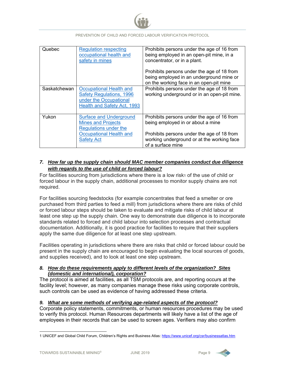

| Quebec       | <b>Regulation respecting</b><br>occupational health and<br>safety in mines                                                 | Prohibits persons under the age of 16 from<br>being employed in an open-pit mine, in a<br>concentrator, or in a plant.            |
|--------------|----------------------------------------------------------------------------------------------------------------------------|-----------------------------------------------------------------------------------------------------------------------------------|
|              |                                                                                                                            | Prohibits persons under the age of 18 from<br>being employed in an underground mine or<br>on the working face in an open-pit mine |
| Saskatchewan | Occupational Health and<br><b>Safety Regulations, 1996</b><br>under the Occupational<br><b>Health and Safety Act, 1993</b> | Prohibits persons under the age of 18 from<br>working underground or in an open-pit mine.                                         |
| Yukon        | <b>Surface and Underground</b><br><b>Mines and Projects</b><br><b>Regulations under the</b>                                | Prohibits persons under the age of 16 from<br>being employed in or about a mine                                                   |
|              | <b>Occupational Health and</b><br><b>Safety Act</b>                                                                        | Prohibits persons under the age of 18 from<br>working underground or at the working face<br>of a surface mine                     |

# *7. How far up the supply chain should MAC member companies conduct due diligence with regards to the use of child or forced labour?*

For facilities sourcing from jurisdictions where there is a low risk $1$  of the use of child or forced labour in the supply chain, additional processes to monitor supply chains are not required.

For facilities sourcing feedstocks (for example concentrates that feed a smelter or ore purchased from third parties to feed a mill) from jurisdictions where there are risks of child or forced labour steps should be taken to evaluate and mitigate risks of child labour at least one step up the supply chain. One way to demonstrate due diligence is to incorporate standards related to forced and child labour into selection processes and contractual documentation. Additionally, it is good practice for facilities to require that their suppliers apply the same due diligence for at least one step upstream.

Facilities operating in jurisdictions where there are risks that child or forced labour could be present in the supply chain are encouraged to begin evaluating the local sources of goods, and supplies received), and to look at least one step upstream.

### *8. How do these requirements apply to different levels of the organization? Sites (domestic and international), corporation?*

The protocol is aimed at facilities, as all TSM protocols are, and reporting occurs at the facility level; however, as many companies manage these risks using corporate controls, such controls can be used as evidence of having addressed these criteria.

# *9. What are some methods of verifying age-related aspects of the protocol?*

Corporate policy statements, commitments, or human resources procedures may be used to verify this protocol. Human Resources departments will likely have a list of the age of employees in their records that can be used to screen ages. Verifiers may also confirm

-



<sup>1</sup> UNICEF and Global Child Forum, Children's Rights and Business Atlas: https://www.unicef.org/csr/businessatlas.htm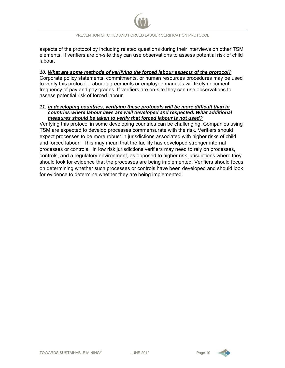

aspects of the protocol by including related questions during their interviews on other TSM elements. If verifiers are on-site they can use observations to assess potential risk of child labour.

#### *10. What are some methods of verifying the forced labour aspects of the protocol?*

Corporate policy statements, commitments, or human resources procedures may be used to verify this protocol. Labour agreements or employee manuals will likely document frequency of pay and pay grades. If verifiers are on-site they can use observations to assess potential risk of forced labour.

#### *11. In developing countries, verifying these protocols will be more difficult than in countries where labour laws are well developed and respected. What additional measures should be taken to verify that forced labour is not used?*

Verifying this protocol in some developing countries can be challenging. Companies using TSM are expected to develop processes commensurate with the risk. Verifiers should expect processes to be more robust in jurisdictions associated with higher risks of child and forced labour. This may mean that the facility has developed stronger internal processes or controls. In low risk jurisdictions verifiers may need to rely on processes, controls, and a regulatory environment, as opposed to higher risk jurisdictions where they should look for evidence that the processes are being implemented. Verifiers should focus on determining whether such processes or controls have been developed and should look for evidence to determine whether they are being implemented.

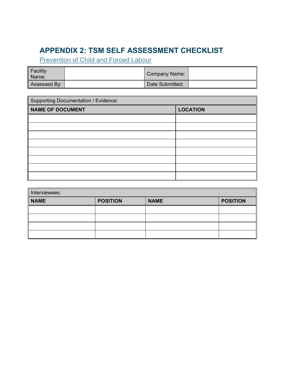# **APPENDIX 2: TSM SELF ASSESSMENT CHECKLIST**

**Prevention of Child and Forced Labour** 

| Facility<br>Name: | Company Name:   |  |
|-------------------|-----------------|--|
| Assessed By:      | Date Submitted: |  |

| <b>Supporting Documentation / Evidence:</b> |                 |  |
|---------------------------------------------|-----------------|--|
| <b>NAME OF DOCUMENT</b>                     | <b>LOCATION</b> |  |
|                                             |                 |  |
|                                             |                 |  |
|                                             |                 |  |
|                                             |                 |  |
|                                             |                 |  |
|                                             |                 |  |
|                                             |                 |  |
|                                             |                 |  |

| Interviewees: |                 |             |                 |  |
|---------------|-----------------|-------------|-----------------|--|
| <b>NAME</b>   | <b>POSITION</b> | <b>NAME</b> | <b>POSITION</b> |  |
|               |                 |             |                 |  |
|               |                 |             |                 |  |
|               |                 |             |                 |  |
|               |                 |             |                 |  |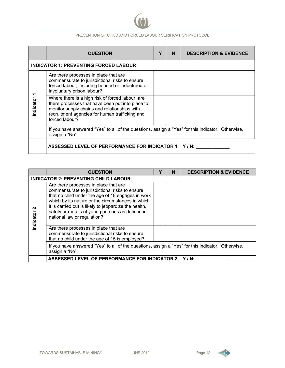

|          | <b>QUESTION</b>                                                                                                                                                                                                          | Y | N. | <b>DESCRIPTION &amp; EVIDENCE</b> |
|----------|--------------------------------------------------------------------------------------------------------------------------------------------------------------------------------------------------------------------------|---|----|-----------------------------------|
|          | <b>INDICATOR 1: PREVENTING FORCED LABOUR</b>                                                                                                                                                                             |   |    |                                   |
|          | Are there processes in place that are<br>commensurate to jurisdictional risks to ensure<br>forced labour, including bonded or indentured or<br>involuntary prison labour?                                                |   |    |                                   |
| ndicator | Where there is a high risk of forced labour, are<br>there processes that have been put into place to<br>monitor supply chains and relationships with<br>recruitment agencies for human trafficking and<br>forced labour? |   |    |                                   |
|          | If you have answered "Yes" to all of the questions, assign a "Yes" for this indicator. Otherwise,<br>assign a "No".                                                                                                      |   |    |                                   |
|          | <b>ASSESSED LEVEL OF PERFORMANCE FOR INDICATOR 1</b>                                                                                                                                                                     |   |    | $Y/N$ :                           |

|               | <b>QUESTION</b>                                                                                                                                                                                                                                                                                                                              |  | N | <b>DESCRIPTION &amp; EVIDENCE</b> |  |  |
|---------------|----------------------------------------------------------------------------------------------------------------------------------------------------------------------------------------------------------------------------------------------------------------------------------------------------------------------------------------------|--|---|-----------------------------------|--|--|
|               | <b>INDICATOR 2: PREVENTING CHILD LABOUR</b>                                                                                                                                                                                                                                                                                                  |  |   |                                   |  |  |
| ี<br>ndicator | Are there processes in place that are<br>commensurate to jurisdictional risks to ensure<br>that no child under the age of 18 engages in work<br>which by its nature or the circumstances in which<br>it is carried out is likely to jeopardize the health,<br>safety or morals of young persons as defined in<br>national law or regulation? |  |   |                                   |  |  |
|               | Are there processes in place that are<br>commensurate to jurisdictional risks to ensure<br>that no child under the age of 15 is employed?                                                                                                                                                                                                    |  |   |                                   |  |  |
|               | If you have answered "Yes" to all of the questions, assign a "Yes" for this indicator. Otherwise,<br>assign a "No".                                                                                                                                                                                                                          |  |   |                                   |  |  |
|               | <b>ASSESSED LEVEL OF PERFORMANCE FOR INDICATOR 2</b><br>$Y/N$ :                                                                                                                                                                                                                                                                              |  |   |                                   |  |  |